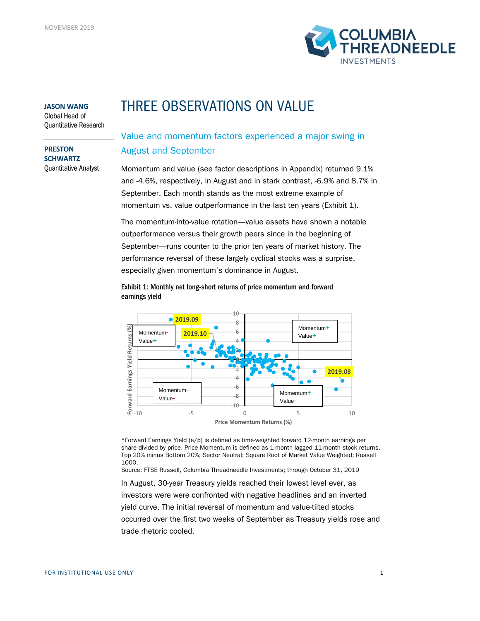

#### **JASON WANG**

Global Head of Quantitative Research

**PRESTON SCHWARTZ** Quantitative Analyst

# THREE OBSERVATIONS ON VALUE

## Value and momentum factors experienced a major swing in August and September

Momentum and value (see factor descriptions in Appendix) returned 9.1% and -4.6%, respectively, in August and in stark contrast, -6.9% and 8.7% in September. Each month stands as the most extreme example of momentum vs. value outperformance in the last ten years (Exhibit 1).

The momentum-into-value rotation—value assets have shown a notable outperformance versus their growth peers since in the beginning of September—runs counter to the prior ten years of market history. The performance reversal of these largely cyclical stocks was a surprise, especially given momentum's dominance in August.



-10 -8 -6 -4

Momentum-Value-

-10 -5 0 5 10 **Price Momentum Returns (%)**

Momentum+ Value-

### Exhibit 1: Monthly net long-short returns of price momentum and forward earnings yield

\*Forward Earnings Yield (e/p) is defined as time-weighted forward 12-month earnings per share divided by price. Price Momentum is defined as 1-month lagged 11-month stock returns. Top 20% minus Bottom 20%; Sector Neutral; Square Root of Market Value Weighted; Russell 1000.

Source: FTSE Russell, Columbia Threadneedle Investments; through October 31, 2019

In August, 30-year Treasury yields reached their lowest level ever, as investors were were confronted with negative headlines and an inverted yield curve. The initial reversal of momentum and value-tilted stocks occurred over the first two weeks of September as Treasury yields rose and trade rhetoric cooled.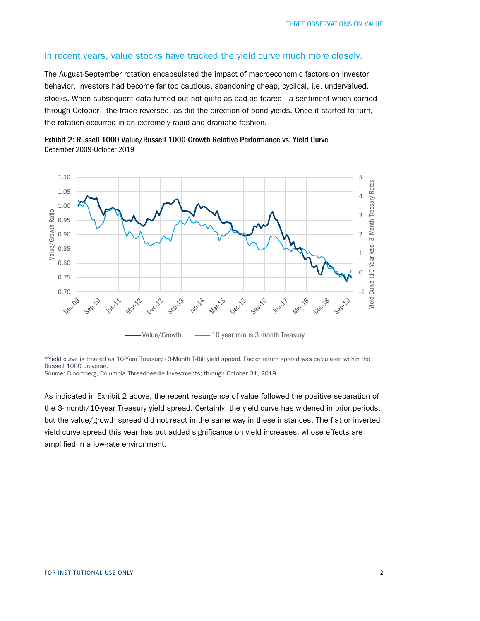## In recent years, value stocks have tracked the yield curve much more closely.

The August-September rotation encapsulated the impact of macroeconomic factors on investor behavior. Investors had become far too cautious, abandoning cheap, cyclical, i.e. undervalued, stocks. When subsequent data turned out not quite as bad as feared---a sentiment which carried through October----the trade reversed, as did the direction of bond yields. Once it started to turn, the rotation occurred in an extremely rapid and dramatic fashion.





\*Yield curve is treated as 10-Year Treasury - 3-Month T-Bill yield spread. Factor return spread was calculated within the Russell 1000 universe.

Source: Bloomberg, Columbia Threadneedle Investments; through October 31, 2019

As indicated in Exhibit 2 above, the recent resurgence of value followed the positive separation of the 3-month/10-year Treasury yield spread. Certainly, the yield curve has widened in prior periods, but the value/growth spread did not react in the same way in these instances. The flat or inverted yield curve spread this year has put added significance on yield increases, whose effects are amplified in a low-rate environment.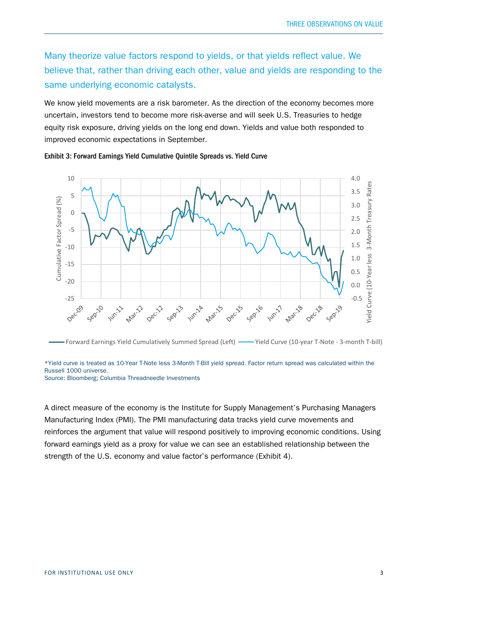Many theorize value factors respond to yields, or that yields reflect value. We believe that, rather than driving each other, value and yields are responding to the same underlying economic catalysts.

We know yield movements are a risk barometer. As the direction of the economy becomes more uncertain, investors tend to become more risk-averse and will seek U.S. Treasuries to hedge equity risk exposure, driving yields on the long end down. Yields and value both responded to improved economic expectations in September.

Exhibit 3: Forward Earnings Yield Cumulative Quintile Spreads vs. Yield Curve



Forward Earnings Yield Cumulatively Summed Spread (Left) - Yield Curve (10-year T-Note - 3-month T-bill)

\*Yield curve is treated as 10-Year T-Note less 3-Month T-Bill yield spread. Factor return spread was calculated within the Russell 1000 universe.

Source: Bloomberg; Columbia Threadneedle Investments

A direct measure of the economy is the Institute for Supply Management's Purchasing Managers Manufacturing Index (PMI). The PMI manufacturing data tracks yield curve movements and reinforces the argument that value will respond positively to improving economic conditions. Using forward earnings yield as a proxy for value we can see an established relationship between the strength of the U.S. economy and value factor's performance (Exhibit 4).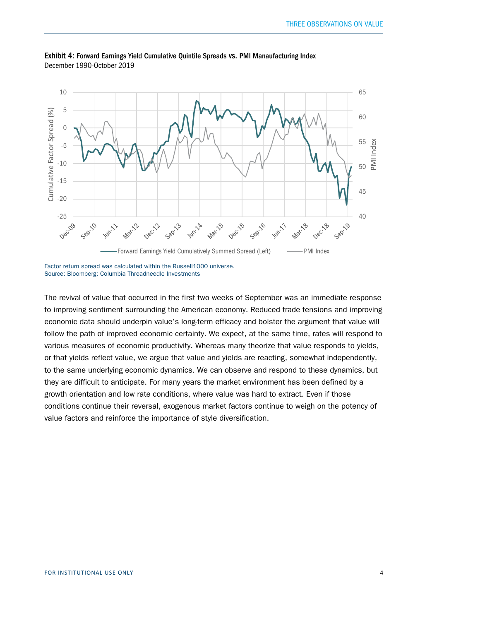

Exhibit 4: Forward Earnings Yield Cumulative Quintile Spreads vs. PMI Manaufacturing Index December 1990-October 2019

Factor return spread was calculated within the Russell1000 universe. Source: Bloomberg; Columbia Threadneedle Investments

The revival of value that occurred in the first two weeks of September was an immediate response to improving sentiment surrounding the American economy. Reduced trade tensions and improving economic data should underpin value's long-term efficacy and bolster the argument that value will follow the path of improved economic certainty. We expect, at the same time, rates will respond to various measures of economic productivity. Whereas many theorize that value responds to yields, or that yields reflect value, we argue that value and yields are reacting, somewhat independently, to the same underlying economic dynamics. We can observe and respond to these dynamics, but they are difficult to anticipate. For many years the market environment has been defined by a growth orientation and low rate conditions, where value was hard to extract. Even if those conditions continue their reversal, exogenous market factors continue to weigh on the potency of value factors and reinforce the importance of style diversification.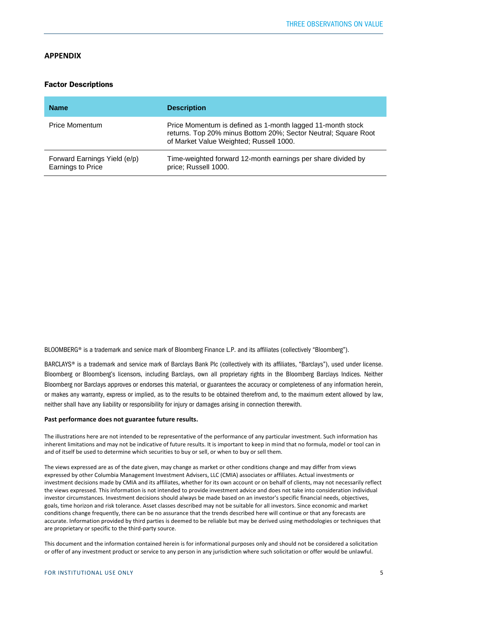#### **APPENDIX**

#### **Factor Descriptions**

| <b>Name</b>                                       | <b>Description</b>                                                                                                                                                      |
|---------------------------------------------------|-------------------------------------------------------------------------------------------------------------------------------------------------------------------------|
| <b>Price Momentum</b>                             | Price Momentum is defined as 1-month lagged 11-month stock<br>returns. Top 20% minus Bottom 20%; Sector Neutral; Square Root<br>of Market Value Weighted; Russell 1000. |
| Forward Earnings Yield (e/p)<br>Earnings to Price | Time-weighted forward 12-month earnings per share divided by<br>price: Russell 1000.                                                                                    |

BLOOMBERG® is a trademark and service mark of Bloomberg Finance L.P. and its affiliates (collectively "Bloomberg").

BARCLAYS® is a trademark and service mark of Barclays Bank Plc (collectively with its affiliates, "Barclays"), used under license. Bloomberg or Bloomberg's licensors, including Barclays, own all proprietary rights in the Bloomberg Barclays Indices. Neither Bloomberg nor Barclays approves or endorses this material, or guarantees the accuracy or completeness of any information herein, or makes any warranty, express or implied, as to the results to be obtained therefrom and, to the maximum extent allowed by law, neither shall have any liability or responsibility for injury or damages arising in connection therewith.

#### **Past performance does not guarantee future results.**

The illustrations here are not intended to be representative of the performance of any particular investment. Such information has inherent limitations and may not be indicative of future results. It is important to keep in mind that no formula, model or tool can in and of itself be used to determine which securities to buy or sell, or when to buy or sell them.

The views expressed are as of the date given, may change as market or other conditions change and may differ from views expressed by other Columbia Management Investment Advisers, LLC (CMIA) associates or affiliates. Actual investments or investment decisions made by CMIA and its affiliates, whether for its own account or on behalf of clients, may not necessarily reflect the views expressed. This information is not intended to provide investment advice and does not take into consideration individual investor circumstances. Investment decisions should always be made based on an investor's specific financial needs, objectives, goals, time horizon and risk tolerance. Asset classes described may not be suitable for all investors. Since economic and market conditions change frequently, there can be no assurance that the trends described here will continue or that any forecasts are accurate. Information provided by third parties is deemed to be reliable but may be derived using methodologies or techniques that are proprietary or specific to the third-party source.

This document and the information contained herein is for informational purposes only and should not be considered a solicitation or offer of any investment product or service to any person in any jurisdiction where such solicitation or offer would be unlawful.